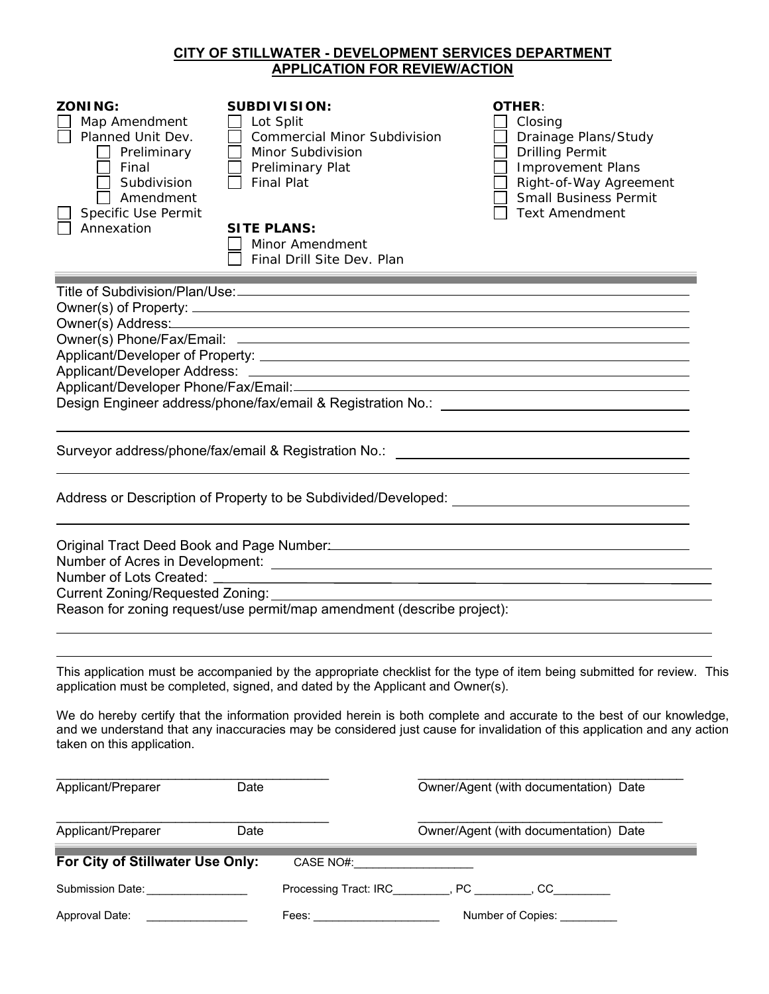# **CITY OF STILLWATER - DEVELOPMENT SERVICES DEPARTMENT APPLICATION FOR REVIEW/ACTION**

| <b>APPLICATION FOR REVIEW/ACTION</b>                                                                                                          |                                                                                                                                                                                                              |                                                                                                                                                                                           |  |  |  |
|-----------------------------------------------------------------------------------------------------------------------------------------------|--------------------------------------------------------------------------------------------------------------------------------------------------------------------------------------------------------------|-------------------------------------------------------------------------------------------------------------------------------------------------------------------------------------------|--|--|--|
| <b>ZONING:</b><br>Map Amendment<br>Planned Unit Dev.<br>Preliminary<br>Final<br>Subdivision<br>Amendment<br>Specific Use Permit<br>Annexation | <b>SUBDIVISION:</b><br>Lot Split<br><b>Commercial Minor Subdivision</b><br>Minor Subdivision<br>Preliminary Plat<br><b>Final Plat</b><br><b>SITE PLANS:</b><br>Minor Amendment<br>Final Drill Site Dev. Plan | <b>OTHER:</b><br>Closing<br>Drainage Plans/Study<br><b>Drilling Permit</b><br><b>Improvement Plans</b><br>Right-of-Way Agreement<br><b>Small Business Permit</b><br><b>Text Amendment</b> |  |  |  |
|                                                                                                                                               |                                                                                                                                                                                                              |                                                                                                                                                                                           |  |  |  |
|                                                                                                                                               |                                                                                                                                                                                                              |                                                                                                                                                                                           |  |  |  |
|                                                                                                                                               | Owner(s) Address: Notified and the set of the set of the set of the set of the set of the set of the set of th                                                                                               |                                                                                                                                                                                           |  |  |  |
|                                                                                                                                               |                                                                                                                                                                                                              |                                                                                                                                                                                           |  |  |  |
|                                                                                                                                               |                                                                                                                                                                                                              |                                                                                                                                                                                           |  |  |  |
|                                                                                                                                               |                                                                                                                                                                                                              |                                                                                                                                                                                           |  |  |  |
| Applicant/Developer Phone/Fax/Email:                                                                                                          |                                                                                                                                                                                                              |                                                                                                                                                                                           |  |  |  |
|                                                                                                                                               |                                                                                                                                                                                                              |                                                                                                                                                                                           |  |  |  |
|                                                                                                                                               |                                                                                                                                                                                                              |                                                                                                                                                                                           |  |  |  |
|                                                                                                                                               | Surveyor address/phone/fax/email & Registration No.: \\community-control address/phone/fax/email & Registration No.:                                                                                         |                                                                                                                                                                                           |  |  |  |
|                                                                                                                                               |                                                                                                                                                                                                              |                                                                                                                                                                                           |  |  |  |
|                                                                                                                                               |                                                                                                                                                                                                              |                                                                                                                                                                                           |  |  |  |
|                                                                                                                                               |                                                                                                                                                                                                              |                                                                                                                                                                                           |  |  |  |
|                                                                                                                                               |                                                                                                                                                                                                              |                                                                                                                                                                                           |  |  |  |
| Original Tract Deed Book and Page Number: Manual According to the Control of the Control of the Control of the                                |                                                                                                                                                                                                              |                                                                                                                                                                                           |  |  |  |
|                                                                                                                                               |                                                                                                                                                                                                              |                                                                                                                                                                                           |  |  |  |
|                                                                                                                                               |                                                                                                                                                                                                              |                                                                                                                                                                                           |  |  |  |
|                                                                                                                                               |                                                                                                                                                                                                              |                                                                                                                                                                                           |  |  |  |
| Reason for zoning request/use permit/map amendment (describe project):                                                                        |                                                                                                                                                                                                              |                                                                                                                                                                                           |  |  |  |
|                                                                                                                                               |                                                                                                                                                                                                              |                                                                                                                                                                                           |  |  |  |

This application must be accompanied by the appropriate checklist for the type of item being submitted for review. This application must be completed, signed, and dated by the Applicant and Owner(s).

We do hereby certify that the information provided herein is both complete and accurate to the best of our knowledge, and we understand that any inaccuracies may be considered just cause for invalidation of this application and any action taken on this application.

| Applicant/Preparer<br>Date       |                                                                                                                                                                                                                                | Owner/Agent (with documentation) Date |
|----------------------------------|--------------------------------------------------------------------------------------------------------------------------------------------------------------------------------------------------------------------------------|---------------------------------------|
| Applicant/Preparer<br>Date       |                                                                                                                                                                                                                                | Owner/Agent (with documentation) Date |
| For City of Stillwater Use Only: | CASE NO#:                                                                                                                                                                                                                      |                                       |
| Submission Date:                 | Processing Tract: IRC , PC , CC                                                                                                                                                                                                |                                       |
| Approval Date:                   | Fees: with the set of the set of the set of the set of the set of the set of the set of the set of the set of the set of the set of the set of the set of the set of the set of the set of the set of the set of the set of th | Number of Copies:                     |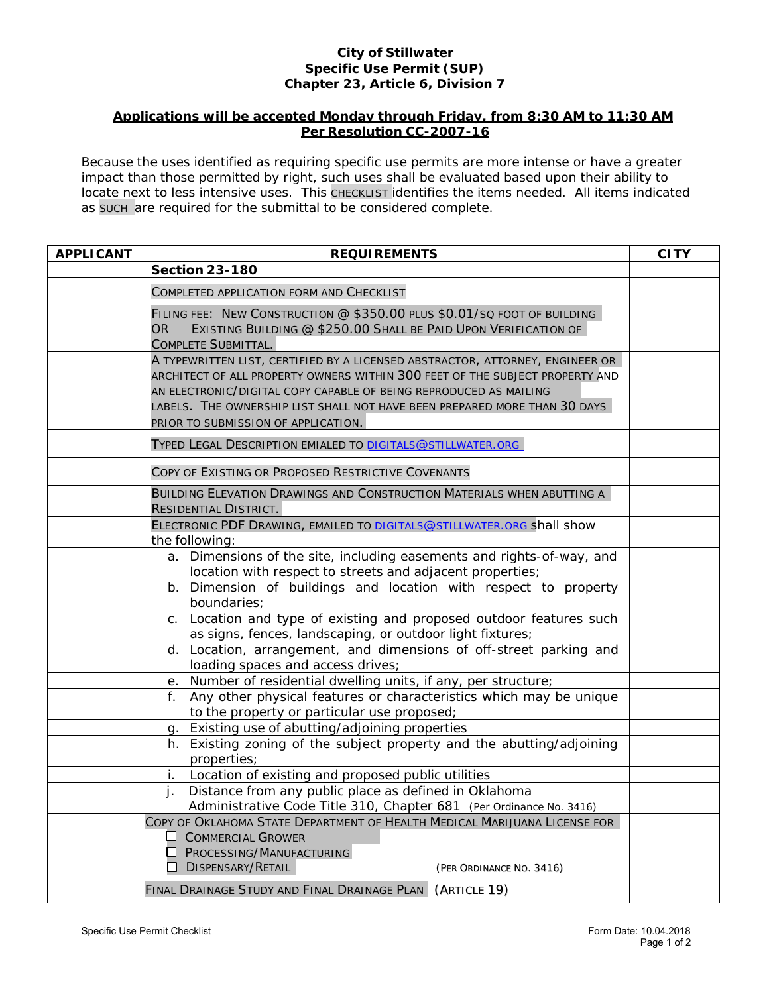## **City of Stillwater Specific Use Permit (SUP) Chapter 23, Article 6, Division 7**

## **Applications will be accepted Monday through Friday, from 8:30 AM to 11:30 AM Per Resolution CC-2007-16**

Because the uses identified as requiring specific use permits are more intense or have a greater impact than those permitted by right, such uses shall be evaluated based upon their ability to locate next to less intensive uses. This CHECKLIST identifies the items needed. All items indicated as SUCH are required for the submittal to be considered complete.

| <b>APPLICANT</b> | <b>REQUIREMENTS</b>                                                                                                                                                                                                                                                                                                                                    | <b>CITY</b> |  |
|------------------|--------------------------------------------------------------------------------------------------------------------------------------------------------------------------------------------------------------------------------------------------------------------------------------------------------------------------------------------------------|-------------|--|
|                  | <b>Section 23-180</b>                                                                                                                                                                                                                                                                                                                                  |             |  |
|                  | COMPLETED APPLICATION FORM AND CHECKLIST                                                                                                                                                                                                                                                                                                               |             |  |
|                  | FILING FEE: NEW CONSTRUCTION @ \$350.00 PLUS \$0.01/SQ FOOT OF BUILDING<br>OR.<br>EXISTING BUILDING @ \$250.00 SHALL BE PAID UPON VERIFICATION OF<br>COMPLETE SUBMITTAL.                                                                                                                                                                               |             |  |
|                  | A TYPEWRITTEN LIST, CERTIFIED BY A LICENSED ABSTRACTOR, ATTORNEY, ENGINEER OR<br>ARCHITECT OF ALL PROPERTY OWNERS WITHIN 300 FEET OF THE SUBJECT PROPERTY AND<br>AN ELECTRONIC/DIGITAL COPY CAPABLE OF BEING REPRODUCED AS MAILING<br>LABELS. THE OWNERSHIP LIST SHALL NOT HAVE BEEN PREPARED MORE THAN 30 DAYS<br>PRIOR TO SUBMISSION OF APPLICATION. |             |  |
|                  | TYPED LEGAL DESCRIPTION EMIALED TO DIGITALS@STILLWATER.ORG                                                                                                                                                                                                                                                                                             |             |  |
|                  | COPY OF EXISTING OR PROPOSED RESTRICTIVE COVENANTS                                                                                                                                                                                                                                                                                                     |             |  |
|                  | BUILDING ELEVATION DRAWINGS AND CONSTRUCTION MATERIALS WHEN ABUTTING A<br><b>RESIDENTIAL DISTRICT.</b>                                                                                                                                                                                                                                                 |             |  |
|                  | ELECTRONIC PDF DRAWING, EMAILED TO DIGITALS@STILLWATER.ORG shall show<br>the following:                                                                                                                                                                                                                                                                |             |  |
|                  | a. Dimensions of the site, including easements and rights-of-way, and<br>location with respect to streets and adjacent properties;                                                                                                                                                                                                                     |             |  |
|                  | b. Dimension of buildings and location with respect to property<br>boundaries;                                                                                                                                                                                                                                                                         |             |  |
|                  | c. Location and type of existing and proposed outdoor features such<br>as signs, fences, landscaping, or outdoor light fixtures;                                                                                                                                                                                                                       |             |  |
|                  | d. Location, arrangement, and dimensions of off-street parking and<br>loading spaces and access drives;                                                                                                                                                                                                                                                |             |  |
|                  | e. Number of residential dwelling units, if any, per structure;                                                                                                                                                                                                                                                                                        |             |  |
|                  | Any other physical features or characteristics which may be unique<br>$f_{\perp}$<br>to the property or particular use proposed;                                                                                                                                                                                                                       |             |  |
|                  | Existing use of abutting/adjoining properties<br>q.                                                                                                                                                                                                                                                                                                    |             |  |
|                  | h. Existing zoning of the subject property and the abutting/adjoining<br>properties;                                                                                                                                                                                                                                                                   |             |  |
|                  | i. Location of existing and proposed public utilities                                                                                                                                                                                                                                                                                                  |             |  |
|                  | Distance from any public place as defined in Oklahoma<br>j.<br>Administrative Code Title 310, Chapter 681 (Per Ordinance No. 3416)                                                                                                                                                                                                                     |             |  |
|                  | COPY OF OKLAHOMA STATE DEPARTMENT OF HEALTH MEDICAL MARIJUANA LICENSE FOR<br><b>COMMERCIAL GROWER</b><br>PROCESSING/MANUFACTURING<br><b>DISPENSARY/RETAIL</b><br>(PER ORDINANCE NO. 3416)                                                                                                                                                              |             |  |
|                  | FINAL DRAINAGE STUDY AND FINAL DRAINAGE PLAN (ARTICLE 19)                                                                                                                                                                                                                                                                                              |             |  |